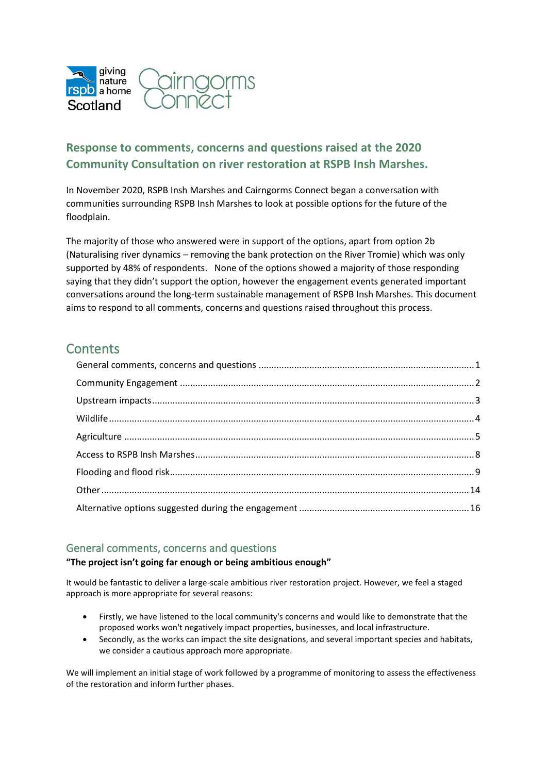

# **Response to comments, concerns and questions raised at the 2020 Community Consultation on river restoration at RSPB Insh Marshes.**

In November 2020, RSPB Insh Marshes and Cairngorms Connect began a conversation with communities surrounding RSPB Insh Marshes to look at possible options for the future of the floodplain.

The majority of those who answered were in support of the options, apart from option 2b (Naturalising river dynamics – removing the bank protection on the River Tromie) which was only supported by 48% of respondents. None of the options showed a majority of those responding saying that they didn't support the option, however the engagement events generated important conversations around the long-term sustainable management of RSPB Insh Marshes. This document aims to respond to all comments, concerns and questions raised throughout this process.

# **Contents**

# <span id="page-0-0"></span>General comments, concerns and questions

#### **"The project isn't going far enough or being ambitious enough"**

It would be fantastic to deliver a large-scale ambitious river restoration project. However, we feel a staged approach is more appropriate for several reasons:

- Firstly, we have listened to the local community's concerns and would like to demonstrate that the proposed works won't negatively impact properties, businesses, and local infrastructure.
- Secondly, as the works can impact the site designations, and several important species and habitats, we consider a cautious approach more appropriate.

We will implement an initial stage of work followed by a programme of monitoring to assess the effectiveness of the restoration and inform further phases.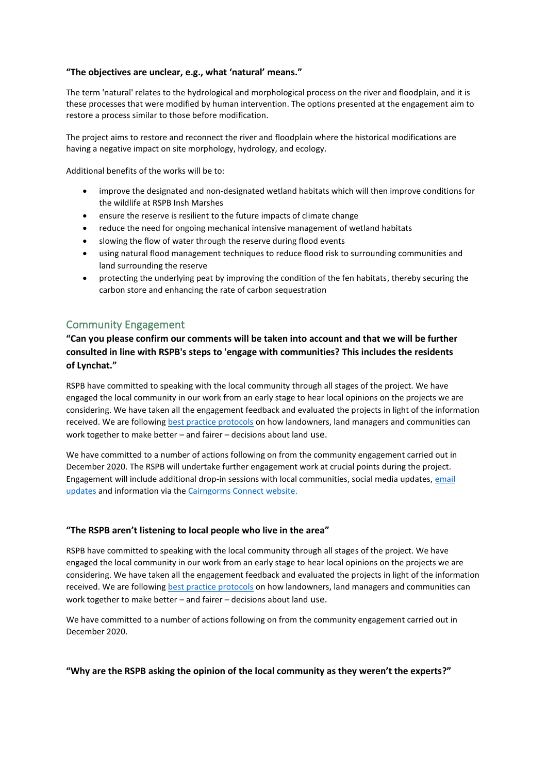#### **"The objectives are unclear, e.g., what 'natural' means."**

The term 'natural' relates to the hydrological and morphological process on the river and floodplain, and it is these processes that were modified by human intervention. The options presented at the engagement aim to restore a process similar to those before modification.

The project aims to restore and reconnect the river and floodplain where the historical modifications are having a negative impact on site morphology, hydrology, and ecology.

Additional benefits of the works will be to:

- improve the designated and non-designated wetland habitats which will then improve conditions for the wildlife at RSPB Insh Marshes
- ensure the reserve is resilient to the future impacts of climate change
- reduce the need for ongoing mechanical intensive management of wetland habitats
- slowing the flow of water through the reserve during flood events
- using natural flood management techniques to reduce flood risk to surrounding communities and land surrounding the reserve
- protecting the underlying peat by improving the condition of the fen habitats, thereby securing the carbon store and enhancing the rate of carbon sequestration

# <span id="page-1-0"></span>Community Engagement

**"Can you please confirm our comments will be taken into account and that we will be further consulted in line with RSPB's steps to 'engage with communities? This includes the residents of Lynchat."**

RSPB have committed to speaking with the local community through all stages of the project. We have engaged the local community in our work from an early stage to hear local opinions on the projects we are considering. We have taken all the engagement feedback and evaluated the projects in light of the information received. We are following [best practice protocols](https://www.landcommission.gov.scot/tag/community-engagement) on how landowners, land managers and communities can work together to make better – and fairer – decisions about land use.

We have committed to a number of actions following on from the community engagement carried out in December 2020. The RSPB will undertake further engagement work at crucial points during the project. Engagement will include additional drop-in sessions with local communities, social media updates[, email](https://forms.office.com/pages/responsepage.aspx?id=vOCYm3zO8EeKao6K7RivYm0iuTvU2HtOqTmCuCH3_-hUNks1VzJPMkJZNzZJVDU1UFZPVlc5MElVWC4u)  [updates](https://forms.office.com/pages/responsepage.aspx?id=vOCYm3zO8EeKao6K7RivYm0iuTvU2HtOqTmCuCH3_-hUNks1VzJPMkJZNzZJVDU1UFZPVlc5MElVWC4u) and information via the [Cairngorms Connect website.](http://cairngormsconnect.org.uk/projects/insh)

#### **"The RSPB aren't listening to local people who live in the area"**

RSPB have committed to speaking with the local community through all stages of the project. We have engaged the local community in our work from an early stage to hear local opinions on the projects we are considering. We have taken all the engagement feedback and evaluated the projects in light of the information received. We are following [best practice protocols](https://www.landcommission.gov.scot/tag/community-engagement.) on how landowners, land managers and communities can work together to make better – and fairer – decisions about land use.

We have committed to a number of actions following on from the community engagement carried out in December 2020.

#### **"Why are the RSPB asking the opinion of the local community as they weren't the experts?"**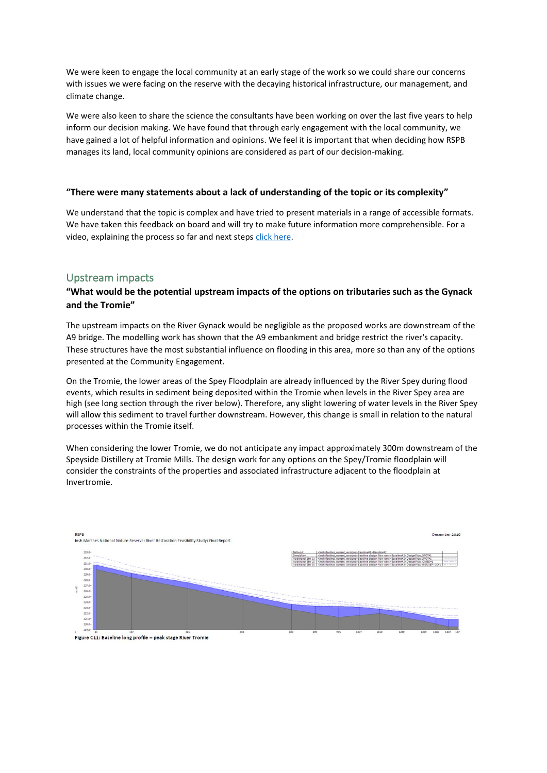We were keen to engage the local community at an early stage of the work so we could share our concerns with issues we were facing on the reserve with the decaying historical infrastructure, our management, and climate change.

We were also keen to share the science the consultants have been working on over the last five years to help inform our decision making. We have found that through early engagement with the local community, we have gained a lot of helpful information and opinions. We feel it is important that when deciding how RSPB manages its land, local community opinions are considered as part of our decision-making.

#### **"There were many statements about a lack of understanding of the topic or its complexity"**

We understand that the topic is complex and have tried to present materials in a range of accessible formats. We have taken this feedback on board and will try to make future information more comprehensible. For a video, explaining the process so far and next steps [click here.](https://www.youtube.com/watch?v=nCwZGg_Gx2c)

# <span id="page-2-0"></span>Upstream impacts

### **"What would be the potential upstream impacts of the options on tributaries such as the Gynack and the Tromie"**

The upstream impacts on the River Gynack would be negligible as the proposed works are downstream of the A9 bridge. The modelling work has shown that the A9 embankment and bridge restrict the river's capacity. These structures have the most substantial influence on flooding in this area, more so than any of the options presented at the Community Engagement.

On the Tromie, the lower areas of the Spey Floodplain are already influenced by the River Spey during flood events, which results in sediment being deposited within the Tromie when levels in the River Spey area are high (see long section through the river below). Therefore, any slight lowering of water levels in the River Spey will allow this sediment to travel further downstream. However, this change is small in relation to the natural processes within the Tromie itself.

When considering the lower Tromie, we do not anticipate any impact approximately 300m downstream of the Speyside Distillery at Tromie Mills. The design work for any options on the Spey/Tromie floodplain will consider the constraints of the properties and associated infrastructure adjacent to the floodplain at Invertromie.

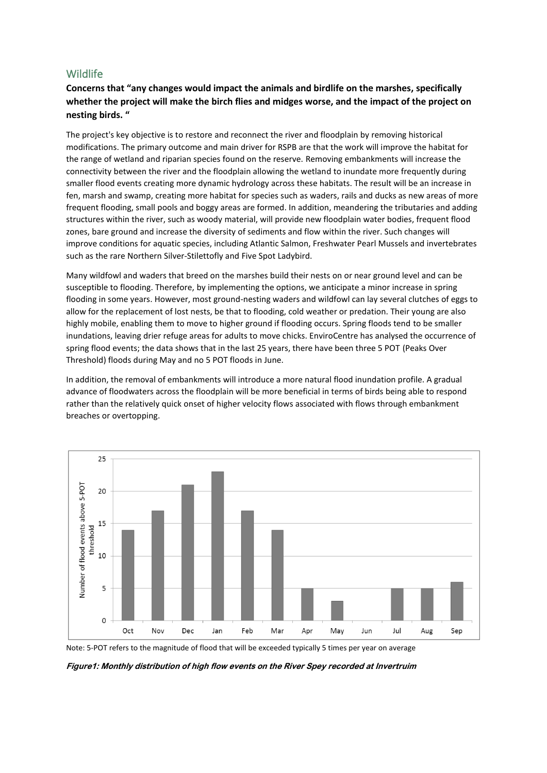# <span id="page-3-0"></span>**Wildlife**

# **Concerns that "any changes would impact the animals and birdlife on the marshes, specifically whether the project will make the birch flies and midges worse, and the impact of the project on nesting birds. "**

The project's key objective is to restore and reconnect the river and floodplain by removing historical modifications. The primary outcome and main driver for RSPB are that the work will improve the habitat for the range of wetland and riparian species found on the reserve. Removing embankments will increase the connectivity between the river and the floodplain allowing the wetland to inundate more frequently during smaller flood events creating more dynamic hydrology across these habitats. The result will be an increase in fen, marsh and swamp, creating more habitat for species such as waders, rails and ducks as new areas of more frequent flooding, small pools and boggy areas are formed. In addition, meandering the tributaries and adding structures within the river, such as woody material, will provide new floodplain water bodies, frequent flood zones, bare ground and increase the diversity of sediments and flow within the river. Such changes will improve conditions for aquatic species, including Atlantic Salmon, Freshwater Pearl Mussels and invertebrates such as the rare Northern Silver-Stilettofly and Five Spot Ladybird.

Many wildfowl and waders that breed on the marshes build their nests on or near ground level and can be susceptible to flooding. Therefore, by implementing the options, we anticipate a minor increase in spring flooding in some years. However, most ground-nesting waders and wildfowl can lay several clutches of eggs to allow for the replacement of lost nests, be that to flooding, cold weather or predation. Their young are also highly mobile, enabling them to move to higher ground if flooding occurs. Spring floods tend to be smaller inundations, leaving drier refuge areas for adults to move chicks. EnviroCentre has analysed the occurrence of spring flood events; the data shows that in the last 25 years, there have been three 5 POT (Peaks Over Threshold) floods during May and no 5 POT floods in June.

In addition, the removal of embankments will introduce a more natural flood inundation profile. A gradual advance of floodwaters across the floodplain will be more beneficial in terms of birds being able to respond rather than the relatively quick onset of higher velocity flows associated with flows through embankment breaches or overtopping.



Note: 5-POT refers to the magnitude of flood that will be exceeded typically 5 times per year on average

Figure1: Monthly distribution of high flow events on the River Spey recorded at Invertruim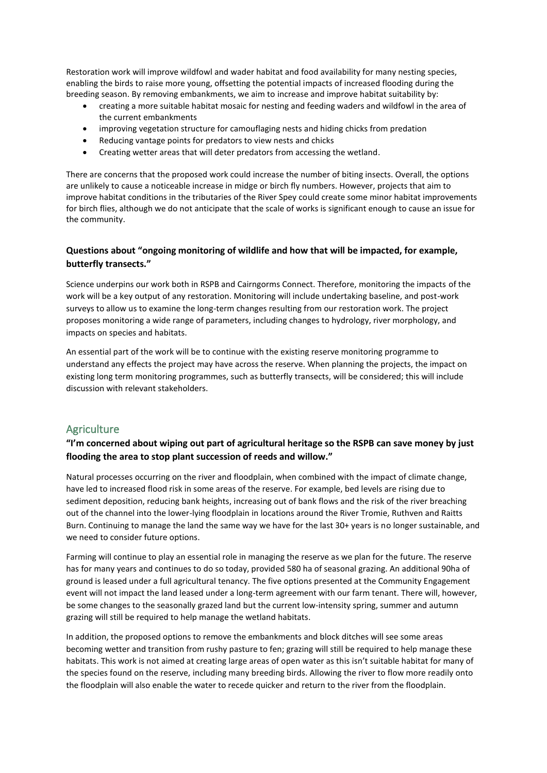Restoration work will improve wildfowl and wader habitat and food availability for many nesting species, enabling the birds to raise more young, offsetting the potential impacts of increased flooding during the breeding season. By removing embankments, we aim to increase and improve habitat suitability by:

- creating a more suitable habitat mosaic for nesting and feeding waders and wildfowl in the area of the current embankments
- improving vegetation structure for camouflaging nests and hiding chicks from predation
- Reducing vantage points for predators to view nests and chicks
- Creating wetter areas that will deter predators from accessing the wetland.

There are concerns that the proposed work could increase the number of biting insects. Overall, the options are unlikely to cause a noticeable increase in midge or birch fly numbers. However, projects that aim to improve habitat conditions in the tributaries of the River Spey could create some minor habitat improvements for birch flies, although we do not anticipate that the scale of works is significant enough to cause an issue for the community.

## **Questions about "ongoing monitoring of wildlife and how that will be impacted, for example, butterfly transects."**

Science underpins our work both in RSPB and Cairngorms Connect. Therefore, monitoring the impacts of the work will be a key output of any restoration. Monitoring will include undertaking baseline, and post-work surveys to allow us to examine the long-term changes resulting from our restoration work. The project proposes monitoring a wide range of parameters, including changes to hydrology, river morphology, and impacts on species and habitats.

An essential part of the work will be to continue with the existing reserve monitoring programme to understand any effects the project may have across the reserve. When planning the projects, the impact on existing long term monitoring programmes, such as butterfly transects, will be considered; this will include discussion with relevant stakeholders.

# <span id="page-4-0"></span>**Agriculture**

# **"I'm concerned about wiping out part of agricultural heritage so the RSPB can save money by just flooding the area to stop plant succession of reeds and willow."**

Natural processes occurring on the river and floodplain, when combined with the impact of climate change, have led to increased flood risk in some areas of the reserve. For example, bed levels are rising due to sediment deposition, reducing bank heights, increasing out of bank flows and the risk of the river breaching out of the channel into the lower-lying floodplain in locations around the River Tromie, Ruthven and Raitts Burn. Continuing to manage the land the same way we have for the last 30+ years is no longer sustainable, and we need to consider future options.

Farming will continue to play an essential role in managing the reserve as we plan for the future. The reserve has for many years and continues to do so today, provided 580 ha of seasonal grazing. An additional 90ha of ground is leased under a full agricultural tenancy. The five options presented at the Community Engagement event will not impact the land leased under a long-term agreement with our farm tenant. There will, however, be some changes to the seasonally grazed land but the current low-intensity spring, summer and autumn grazing will still be required to help manage the wetland habitats.

In addition, the proposed options to remove the embankments and block ditches will see some areas becoming wetter and transition from rushy pasture to fen; grazing will still be required to help manage these habitats. This work is not aimed at creating large areas of open water as this isn't suitable habitat for many of the species found on the reserve, including many breeding birds. Allowing the river to flow more readily onto the floodplain will also enable the water to recede quicker and return to the river from the floodplain.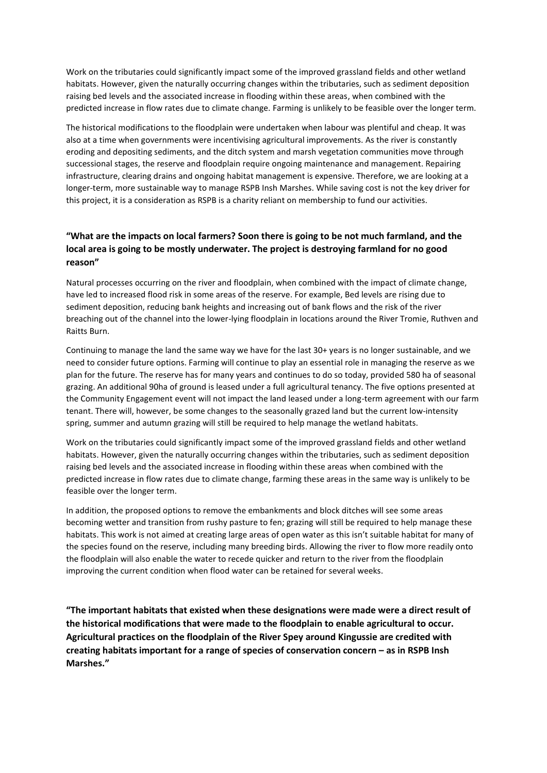Work on the tributaries could significantly impact some of the improved grassland fields and other wetland habitats. However, given the naturally occurring changes within the tributaries, such as sediment deposition raising bed levels and the associated increase in flooding within these areas, when combined with the predicted increase in flow rates due to climate change. Farming is unlikely to be feasible over the longer term.

The historical modifications to the floodplain were undertaken when labour was plentiful and cheap. It was also at a time when governments were incentivising agricultural improvements. As the river is constantly eroding and depositing sediments, and the ditch system and marsh vegetation communities move through successional stages, the reserve and floodplain require ongoing maintenance and management. Repairing infrastructure, clearing drains and ongoing habitat management is expensive. Therefore, we are looking at a longer-term, more sustainable way to manage RSPB Insh Marshes. While saving cost is not the key driver for this project, it is a consideration as RSPB is a charity reliant on membership to fund our activities.

# **"What are the impacts on local farmers? Soon there is going to be not much farmland, and the local area is going to be mostly underwater. The project is destroying farmland for no good reason"**

Natural processes occurring on the river and floodplain, when combined with the impact of climate change, have led to increased flood risk in some areas of the reserve. For example, Bed levels are rising due to sediment deposition, reducing bank heights and increasing out of bank flows and the risk of the river breaching out of the channel into the lower-lying floodplain in locations around the River Tromie, Ruthven and Raitts Burn.

Continuing to manage the land the same way we have for the last 30+ years is no longer sustainable, and we need to consider future options. Farming will continue to play an essential role in managing the reserve as we plan for the future. The reserve has for many years and continues to do so today, provided 580 ha of seasonal grazing. An additional 90ha of ground is leased under a full agricultural tenancy. The five options presented at the Community Engagement event will not impact the land leased under a long-term agreement with our farm tenant. There will, however, be some changes to the seasonally grazed land but the current low-intensity spring, summer and autumn grazing will still be required to help manage the wetland habitats.

Work on the tributaries could significantly impact some of the improved grassland fields and other wetland habitats. However, given the naturally occurring changes within the tributaries, such as sediment deposition raising bed levels and the associated increase in flooding within these areas when combined with the predicted increase in flow rates due to climate change, farming these areas in the same way is unlikely to be feasible over the longer term.

In addition, the proposed options to remove the embankments and block ditches will see some areas becoming wetter and transition from rushy pasture to fen; grazing will still be required to help manage these habitats. This work is not aimed at creating large areas of open water as this isn't suitable habitat for many of the species found on the reserve, including many breeding birds. Allowing the river to flow more readily onto the floodplain will also enable the water to recede quicker and return to the river from the floodplain improving the current condition when flood water can be retained for several weeks.

**"The important habitats that existed when these designations were made were a direct result of the historical modifications that were made to the floodplain to enable agricultural to occur. Agricultural practices on the floodplain of the River Spey around Kingussie are credited with creating habitats important for a range of species of conservation concern – as in RSPB Insh Marshes."**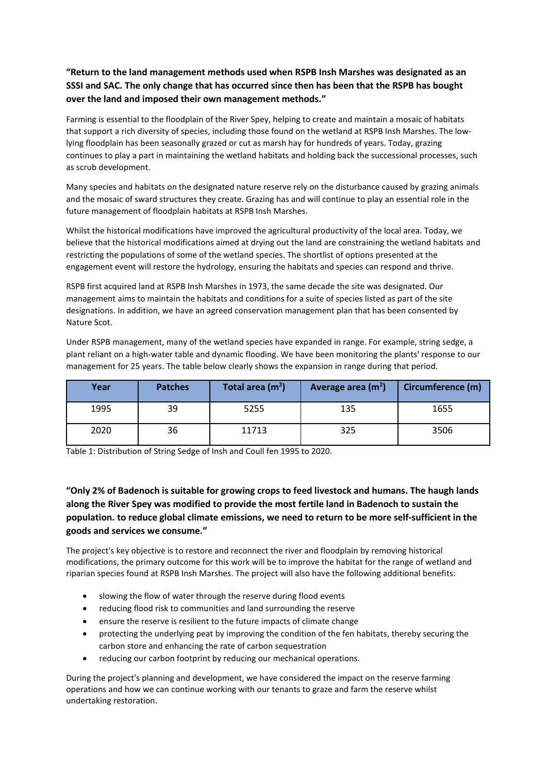# **"Return to the land management methods used when RSPB Insh Marshes was designated as an SSSI and SAC. The only change that has occurred since then has been that the RSPB has bought over the land and imposed their own management methods."**

Farming is essential to the floodplain of the River Spey, helping to create and maintain a mosaic of habitats that support a rich diversity of species, including those found on the wetland at RSPB Insh Marshes. The lowlying floodplain has been seasonally grazed or cut as marsh hay for hundreds of years. Today, grazing continues to play a part in maintaining the wetland habitats and holding back the successional processes, such as scrub development.

Many species and habitats on the designated nature reserve rely on the disturbance caused by grazing animals and the mosaic of sward structures they create. Grazing has and will continue to play an essential role in the future management of floodplain habitats at RSPB Insh Marshes.

Whilst the historical modifications have improved the agricultural productivity of the local area. Today, we believe that the historical modifications aimed at drying out the land are constraining the wetland habitats and restricting the populations of some of the wetland species. The shortlist of options presented at the engagement event will restore the hydrology, ensuring the habitats and species can respond and thrive.

RSPB first acquired land at RSPB Insh Marshes in 1973, the same decade the site was designated. Our management aims to maintain the habitats and conditions for a suite of species listed as part of the site designations. In addition, we have an agreed conservation management plan that has been consented by Nature Scot.

Under RSPB management, many of the wetland species have expanded in range. For example, string sedge, a plant reliant on a high-water table and dynamic flooding. We have been monitoring the plants' response to our management for 25 years. The table below clearly shows the expansion in range during that period.

| Year | <b>Patches</b> | Total area (m <sup>2</sup> ) | Average area (m <sup>2</sup> ) | Circumference (m) |
|------|----------------|------------------------------|--------------------------------|-------------------|
| 1995 | 39             | 5255                         | 135                            | 1655              |
| 2020 | 36             | 11713                        | 325                            | 3506              |

Table 1: Distribution of String Sedge of Insh and Coull fen 1995 to 2020.

**"Only 2% of Badenoch is suitable for growing crops to feed livestock and humans. The haugh lands along the River Spey was modified to provide the most fertile land in Badenoch to sustain the population. to reduce global climate emissions, we need to return to be more self-sufficient in the goods and services we consume."**

The project's key objective is to restore and reconnect the river and floodplain by removing historical modifications, the primary outcome for this work will be to improve the habitat for the range of wetland and riparian species found at RSPB Insh Marshes. The project will also have the following additional benefits:

- slowing the flow of water through the reserve during flood events
- reducing flood risk to communities and land surrounding the reserve
- ensure the reserve is resilient to the future impacts of climate change
- protecting the underlying peat by improving the condition of the fen habitats, thereby securing the carbon store and enhancing the rate of carbon sequestration
- reducing our carbon footprint by reducing our mechanical operations.

During the project's planning and development, we have considered the impact on the reserve farming operations and how we can continue working with our tenants to graze and farm the reserve whilst undertaking restoration.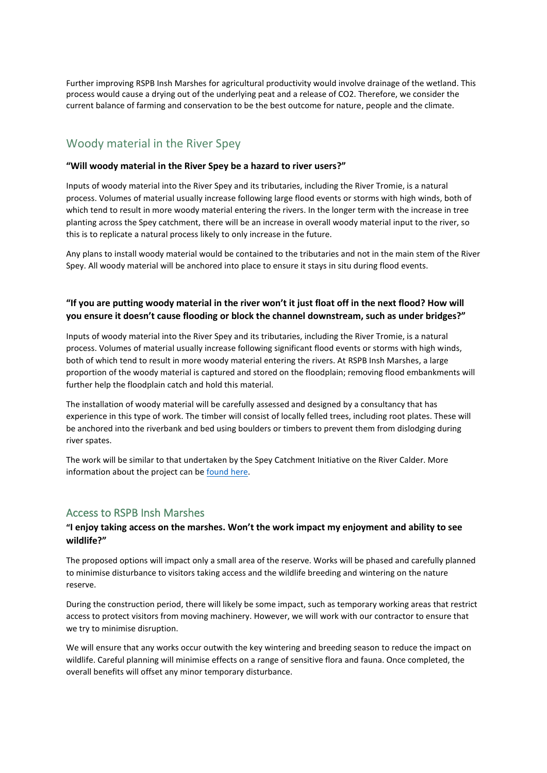Further improving RSPB Insh Marshes for agricultural productivity would involve drainage of the wetland. This process would cause a drying out of the underlying peat and a release of CO2. Therefore, we consider the current balance of farming and conservation to be the best outcome for nature, people and the climate.

# Woody material in the River Spey

#### **"Will woody material in the River Spey be a hazard to river users?"**

Inputs of woody material into the River Spey and its tributaries, including the River Tromie, is a natural process. Volumes of material usually increase following large flood events or storms with high winds, both of which tend to result in more woody material entering the rivers. In the longer term with the increase in tree planting across the Spey catchment, there will be an increase in overall woody material input to the river, so this is to replicate a natural process likely to only increase in the future.

Any plans to install woody material would be contained to the tributaries and not in the main stem of the River Spey. All woody material will be anchored into place to ensure it stays in situ during flood events.

### **"If you are putting woody material in the river won't it just float off in the next flood? How will you ensure it doesn't cause flooding or block the channel downstream, such as under bridges?"**

Inputs of woody material into the River Spey and its tributaries, including the River Tromie, is a natural process. Volumes of material usually increase following significant flood events or storms with high winds, both of which tend to result in more woody material entering the rivers. At RSPB Insh Marshes, a large proportion of the woody material is captured and stored on the floodplain; removing flood embankments will further help the floodplain catch and hold this material.

The installation of woody material will be carefully assessed and designed by a consultancy that has experience in this type of work. The timber will consist of locally felled trees, including root plates. These will be anchored into the riverbank and bed using boulders or timbers to prevent them from dislodging during river spates.

The work will be similar to that undertaken by the Spey Catchment Initiative on the River Calder. More information about the project can be [found here.](https://www.speycatchment.org/projects/)

#### <span id="page-7-0"></span>Access to RSPB Insh Marshes

#### **"I enjoy taking access on the marshes. Won't the work impact my enjoyment and ability to see wildlife?"**

The proposed options will impact only a small area of the reserve. Works will be phased and carefully planned to minimise disturbance to visitors taking access and the wildlife breeding and wintering on the nature reserve.

During the construction period, there will likely be some impact, such as temporary working areas that restrict access to protect visitors from moving machinery. However, we will work with our contractor to ensure that we try to minimise disruption.

We will ensure that any works occur outwith the key wintering and breeding season to reduce the impact on wildlife. Careful planning will minimise effects on a range of sensitive flora and fauna. Once completed, the overall benefits will offset any minor temporary disturbance.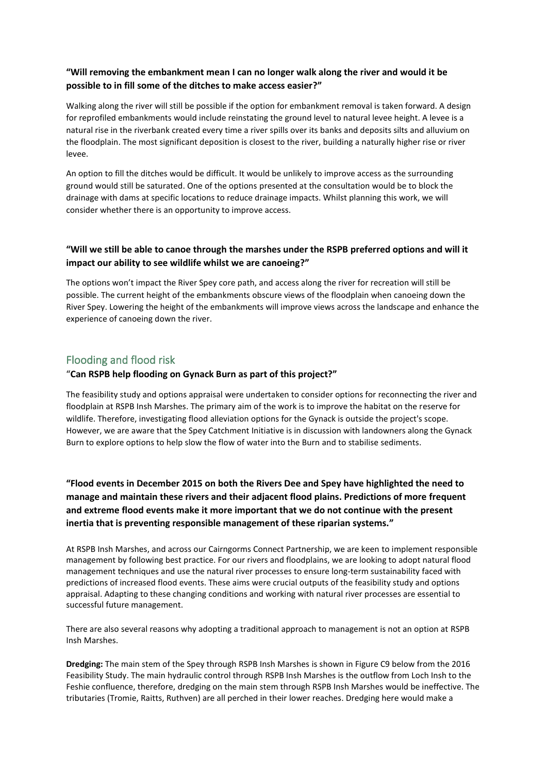### **"Will removing the embankment mean I can no longer walk along the river and would it be possible to in fill some of the ditches to make access easier?"**

Walking along the river will still be possible if the option for embankment removal is taken forward. A design for reprofiled embankments would include reinstating the ground level to natural levee height. A levee is a natural rise in the riverbank created every time a river spills over its banks and deposits silts and alluvium on the floodplain. The most significant deposition is closest to the river, building a naturally higher rise or river levee.

An option to fill the ditches would be difficult. It would be unlikely to improve access as the surrounding ground would still be saturated. One of the options presented at the consultation would be to block the drainage with dams at specific locations to reduce drainage impacts. Whilst planning this work, we will consider whether there is an opportunity to improve access.

## **"Will we still be able to canoe through the marshes under the RSPB preferred options and will it impact our ability to see wildlife whilst we are canoeing?"**

The options won't impact the River Spey core path, and access along the river for recreation will still be possible. The current height of the embankments obscure views of the floodplain when canoeing down the River Spey. Lowering the height of the embankments will improve views across the landscape and enhance the experience of canoeing down the river.

# <span id="page-8-0"></span>Flooding and flood risk

### "**Can RSPB help flooding on Gynack Burn as part of this project?"**

The feasibility study and options appraisal were undertaken to consider options for reconnecting the river and floodplain at RSPB Insh Marshes. The primary aim of the work is to improve the habitat on the reserve for wildlife. Therefore, investigating flood alleviation options for the Gynack is outside the project's scope. However, we are aware that the Spey Catchment Initiative is in discussion with landowners along the Gynack Burn to explore options to help slow the flow of water into the Burn and to stabilise sediments.

**"Flood events in December 2015 on both the Rivers Dee and Spey have highlighted the need to manage and maintain these rivers and their adjacent flood plains. Predictions of more frequent and extreme flood events make it more important that we do not continue with the present inertia that is preventing responsible management of these riparian systems."**

At RSPB Insh Marshes, and across our Cairngorms Connect Partnership, we are keen to implement responsible management by following best practice. For our rivers and floodplains, we are looking to adopt natural flood management techniques and use the natural river processes to ensure long-term sustainability faced with predictions of increased flood events. These aims were crucial outputs of the feasibility study and options appraisal. Adapting to these changing conditions and working with natural river processes are essential to successful future management.

There are also several reasons why adopting a traditional approach to management is not an option at RSPB Insh Marshes.

**Dredging:** The main stem of the Spey through RSPB Insh Marshes is shown in Figure C9 below from the 2016 Feasibility Study. The main hydraulic control through RSPB Insh Marshes is the outflow from Loch Insh to the Feshie confluence, therefore, dredging on the main stem through RSPB Insh Marshes would be ineffective. The tributaries (Tromie, Raitts, Ruthven) are all perched in their lower reaches. Dredging here would make a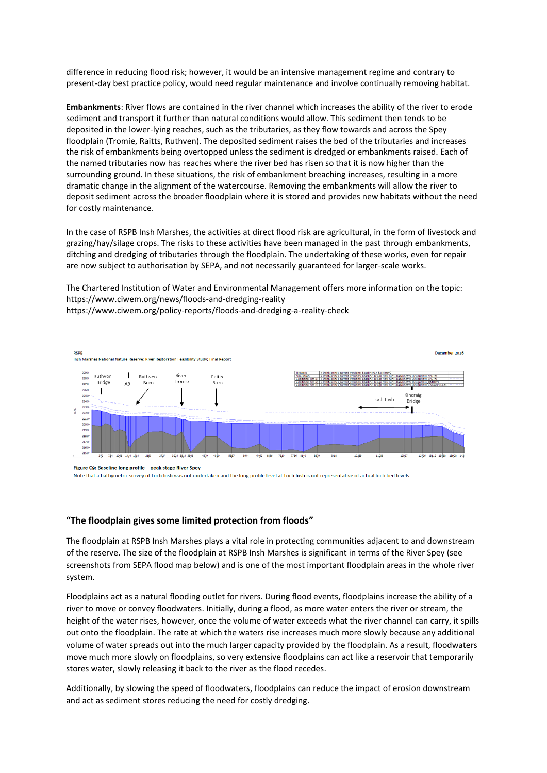difference in reducing flood risk; however, it would be an intensive management regime and contrary to present-day best practice policy, would need regular maintenance and involve continually removing habitat.

**Embankments**: River flows are contained in the river channel which increases the ability of the river to erode sediment and transport it further than natural conditions would allow. This sediment then tends to be deposited in the lower-lying reaches, such as the tributaries, as they flow towards and across the Spey floodplain (Tromie, Raitts, Ruthven). The deposited sediment raises the bed of the tributaries and increases the risk of embankments being overtopped unless the sediment is dredged or embankments raised. Each of the named tributaries now has reaches where the river bed has risen so that it is now higher than the surrounding ground. In these situations, the risk of embankment breaching increases, resulting in a more dramatic change in the alignment of the watercourse. Removing the embankments will allow the river to deposit sediment across the broader floodplain where it is stored and provides new habitats without the need for costly maintenance.

In the case of RSPB Insh Marshes, the activities at direct flood risk are agricultural, in the form of livestock and grazing/hay/silage crops. The risks to these activities have been managed in the past through embankments, ditching and dredging of tributaries through the floodplain. The undertaking of these works, even for repair are now subject to authorisation by SEPA, and not necessarily guaranteed for larger-scale works.

The Chartered Institution of Water and Environmental Management offers more information on the topic: https://www.ciwem.org/news/floods-and-dredging-reality <https://www.ciwem.org/policy-reports/floods-and-dredging-a-reality-check>



Figure C9: Baseline long profile - peak stage River Spey

Note that a bathymetric survey of Loch Insh was not undertaken and the long profile level at Loch Insh is not representative of actual loch bed levels.

#### **"The floodplain gives some limited protection from floods"**

The floodplain at RSPB Insh Marshes plays a vital role in protecting communities adjacent to and downstream of the reserve. The size of the floodplain at RSPB Insh Marshes is significant in terms of the River Spey (see screenshots from SEPA flood map below) and is one of the most important floodplain areas in the whole river system.

Floodplains act as a natural flooding outlet for rivers. During flood events, floodplains increase the ability of a river to move or convey floodwaters. Initially, during a flood, as more water enters the river or stream, the height of the water rises, however, once the volume of water exceeds what the river channel can carry, it spills out onto the floodplain. The rate at which the waters rise increases much more slowly because any additional volume of water spreads out into the much larger capacity provided by the floodplain. As a result, floodwaters move much more slowly on floodplains, so very extensive floodplains can act like a reservoir that temporarily stores water, slowly releasing it back to the river as the flood recedes.

Additionally, by slowing the speed of floodwaters, floodplains can reduce the impact of erosion downstream and act as sediment stores reducing the need for costly dredging.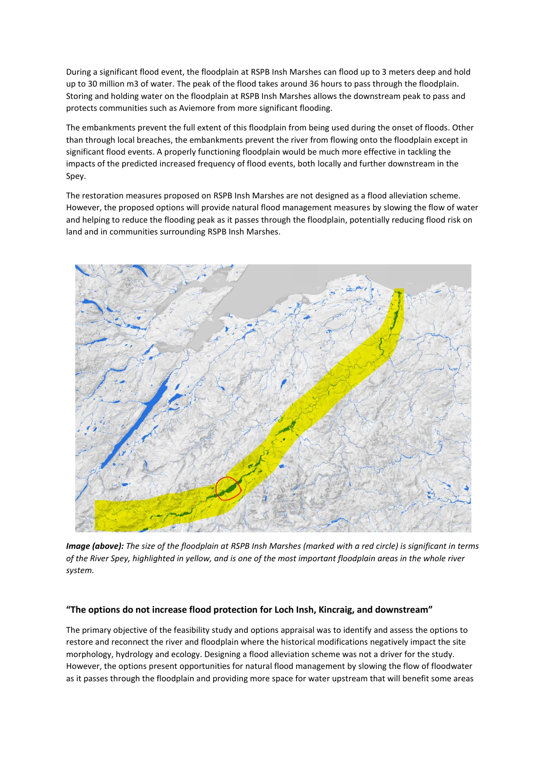During a significant flood event, the floodplain at RSPB Insh Marshes can flood up to 3 meters deep and hold up to 30 million m3 of water. The peak of the flood takes around 36 hours to pass through the floodplain. Storing and holding water on the floodplain at RSPB Insh Marshes allows the downstream peak to pass and protects communities such as Aviemore from more significant flooding.

The embankments prevent the full extent of this floodplain from being used during the onset of floods. Other than through local breaches, the embankments prevent the river from flowing onto the floodplain except in significant flood events. A properly functioning floodplain would be much more effective in tackling the impacts of the predicted increased frequency of flood events, both locally and further downstream in the Spey.

The restoration measures proposed on RSPB Insh Marshes are not designed as a flood alleviation scheme. However, the proposed options will provide natural flood management measures by slowing the flow of water and helping to reduce the flooding peak as it passes through the floodplain, potentially reducing flood risk on land and in communities surrounding RSPB Insh Marshes.



*Image (above): The size of the floodplain at RSPB Insh Marshes (marked with a red circle) is significant in terms of the River Spey, highlighted in yellow, and is one of the most important floodplain areas in the whole river system.*

#### **"The options do not increase flood protection for Loch Insh, Kincraig, and downstream"**

The primary objective of the feasibility study and options appraisal was to identify and assess the options to restore and reconnect the river and floodplain where the historical modifications negatively impact the site morphology, hydrology and ecology. Designing a flood alleviation scheme was not a driver for the study. However, the options present opportunities for natural flood management by slowing the flow of floodwater as it passes through the floodplain and providing more space for water upstream that will benefit some areas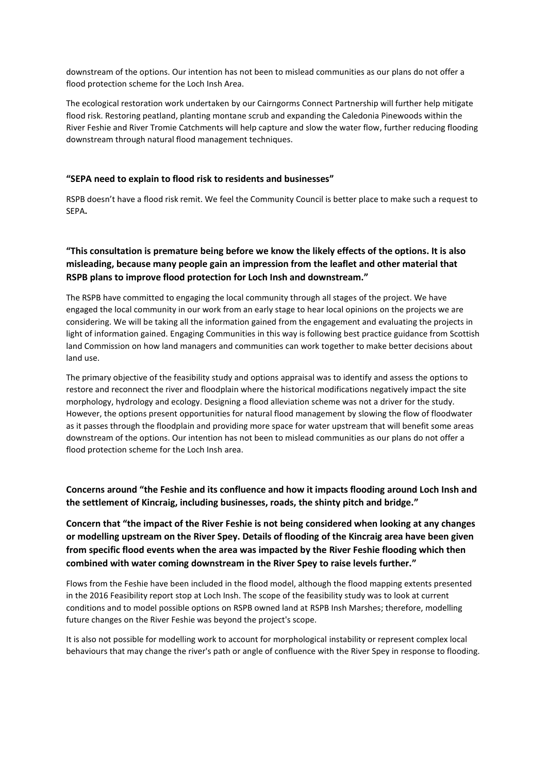downstream of the options. Our intention has not been to mislead communities as our plans do not offer a flood protection scheme for the Loch Insh Area.

The ecological restoration work undertaken by our Cairngorms Connect Partnership will further help mitigate flood risk. Restoring peatland, planting montane scrub and expanding the Caledonia Pinewoods within the River Feshie and River Tromie Catchments will help capture and slow the water flow, further reducing flooding downstream through natural flood management techniques.

#### **"SEPA need to explain to flood risk to residents and businesses"**

RSPB doesn't have a flood risk remit. We feel the Community Council is better place to make such a request to SEPA**.**

# **"This consultation is premature being before we know the likely effects of the options. It is also misleading, because many people gain an impression from the leaflet and other material that RSPB plans to improve flood protection for Loch Insh and downstream."**

The RSPB have committed to engaging the local community through all stages of the project. We have engaged the local community in our work from an early stage to hear local opinions on the projects we are considering. We will be taking all the information gained from the engagement and evaluating the projects in light of information gained. Engaging Communities in this way is following best practice guidance from Scottish land Commission on how land managers and communities can work together to make better decisions about land use.

The primary objective of the feasibility study and options appraisal was to identify and assess the options to restore and reconnect the river and floodplain where the historical modifications negatively impact the site morphology, hydrology and ecology. Designing a flood alleviation scheme was not a driver for the study. However, the options present opportunities for natural flood management by slowing the flow of floodwater as it passes through the floodplain and providing more space for water upstream that will benefit some areas downstream of the options. Our intention has not been to mislead communities as our plans do not offer a flood protection scheme for the Loch Insh area.

**Concerns around "the Feshie and its confluence and how it impacts flooding around Loch Insh and the settlement of Kincraig, including businesses, roads, the shinty pitch and bridge."**

**Concern that "the impact of the River Feshie is not being considered when looking at any changes or modelling upstream on the River Spey. Details of flooding of the Kincraig area have been given from specific flood events when the area was impacted by the River Feshie flooding which then combined with water coming downstream in the River Spey to raise levels further."**

Flows from the Feshie have been included in the flood model, although the flood mapping extents presented in the 2016 Feasibility report stop at Loch Insh. The scope of the feasibility study was to look at current conditions and to model possible options on RSPB owned land at RSPB Insh Marshes; therefore, modelling future changes on the River Feshie was beyond the project's scope.

It is also not possible for modelling work to account for morphological instability or represent complex local behaviours that may change the river's path or angle of confluence with the River Spey in response to flooding.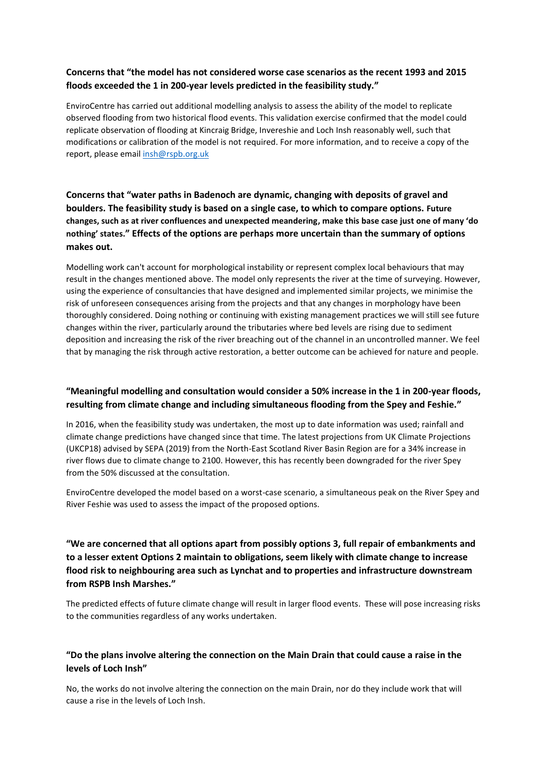## **Concerns that "the model has not considered worse case scenarios as the recent 1993 and 2015 floods exceeded the 1 in 200-year levels predicted in the feasibility study."**

EnviroCentre has carried out additional modelling analysis to assess the ability of the model to replicate observed flooding from two historical flood events. This validation exercise confirmed that the model could replicate observation of flooding at Kincraig Bridge, Invereshie and Loch Insh reasonably well, such that modifications or calibration of the model is not required. For more information, and to receive a copy of the report, please emai[l insh@rspb.org.uk](mailto:insh@rspb.org.uk)

# **Concerns that "water paths in Badenoch are dynamic, changing with deposits of gravel and boulders. The feasibility study is based on a single case, to which to compare options. Future changes, such as at river confluences and unexpected meandering, make this base case just one of many 'do nothing' states." Effects of the options are perhaps more uncertain than the summary of options makes out.**

Modelling work can't account for morphological instability or represent complex local behaviours that may result in the changes mentioned above. The model only represents the river at the time of surveying. However, using the experience of consultancies that have designed and implemented similar projects, we minimise the risk of unforeseen consequences arising from the projects and that any changes in morphology have been thoroughly considered. Doing nothing or continuing with existing management practices we will still see future changes within the river, particularly around the tributaries where bed levels are rising due to sediment deposition and increasing the risk of the river breaching out of the channel in an uncontrolled manner. We feel that by managing the risk through active restoration, a better outcome can be achieved for nature and people.

# **"Meaningful modelling and consultation would consider a 50% increase in the 1 in 200-year floods, resulting from climate change and including simultaneous flooding from the Spey and Feshie."**

In 2016, when the feasibility study was undertaken, the most up to date information was used; rainfall and climate change predictions have changed since that time. The latest projections from UK Climate Projections (UKCP18) advised by SEPA (2019) from the North-East Scotland River Basin Region are for a 34% increase in river flows due to climate change to 2100. However, this has recently been downgraded for the river Spey from the 50% discussed at the consultation.

EnviroCentre developed the model based on a worst-case scenario, a simultaneous peak on the River Spey and River Feshie was used to assess the impact of the proposed options.

# **"We are concerned that all options apart from possibly options 3, full repair of embankments and to a lesser extent Options 2 maintain to obligations, seem likely with climate change to increase flood risk to neighbouring area such as Lynchat and to properties and infrastructure downstream from RSPB Insh Marshes."**

The predicted effects of future climate change will result in larger flood events. These will pose increasing risks to the communities regardless of any works undertaken.

# **"Do the plans involve altering the connection on the Main Drain that could cause a raise in the levels of Loch Insh"**

No, the works do not involve altering the connection on the main Drain, nor do they include work that will cause a rise in the levels of Loch Insh.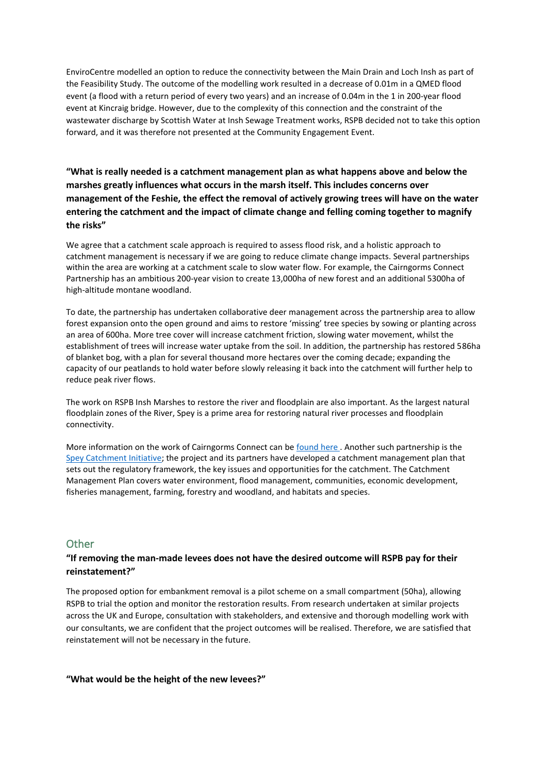EnviroCentre modelled an option to reduce the connectivity between the Main Drain and Loch Insh as part of the Feasibility Study. The outcome of the modelling work resulted in a decrease of 0.01m in a QMED flood event (a flood with a return period of every two years) and an increase of 0.04m in the 1 in 200-year flood event at Kincraig bridge. However, due to the complexity of this connection and the constraint of the wastewater discharge by Scottish Water at Insh Sewage Treatment works, RSPB decided not to take this option forward, and it was therefore not presented at the Community Engagement Event.

**"What is really needed is a catchment management plan as what happens above and below the marshes greatly influences what occurs in the marsh itself. This includes concerns over management of the Feshie, the effect the removal of actively growing trees will have on the water entering the catchment and the impact of climate change and felling coming together to magnify the risks"**

We agree that a catchment scale approach is required to assess flood risk, and a holistic approach to catchment management is necessary if we are going to reduce climate change impacts. Several partnerships within the area are working at a catchment scale to slow water flow. For example, the Cairngorms Connect Partnership has an ambitious 200-year vision to create 13,000ha of new forest and an additional 5300ha of high-altitude montane woodland.

To date, the partnership has undertaken collaborative deer management across the partnership area to allow forest expansion onto the open ground and aims to restore 'missing' tree species by sowing or planting across an area of 600ha. More tree cover will increase catchment friction, slowing water movement, whilst the establishment of trees will increase water uptake from the soil. In addition, the partnership has restored 586ha of blanket bog, with a plan for several thousand more hectares over the coming decade; expanding the capacity of our peatlands to hold water before slowly releasing it back into the catchment will further help to reduce peak river flows.

The work on RSPB Insh Marshes to restore the river and floodplain are also important. As the largest natural floodplain zones of the River, Spey is a prime area for restoring natural river processes and floodplain connectivity.

More information on the work of Cairngorms Connect can be [found here](http://cairngormsconnect.org.uk/) . Another such partnership is the [Spey Catchment Initiative;](https://www.speycatchment.org/projects/) the project and its partners have developed a catchment management plan that sets out the regulatory framework, the key issues and opportunities for the catchment. The Catchment Management Plan covers water environment, flood management, communities, economic development, fisheries management, farming, forestry and woodland, and habitats and species.

### <span id="page-13-0"></span>**Other**

#### **"If removing the man-made levees does not have the desired outcome will RSPB pay for their reinstatement?"**

The proposed option for embankment removal is a pilot scheme on a small compartment (50ha), allowing RSPB to trial the option and monitor the restoration results. From research undertaken at similar projects across the UK and Europe, consultation with stakeholders, and extensive and thorough modelling work with our consultants, we are confident that the project outcomes will be realised. Therefore, we are satisfied that reinstatement will not be necessary in the future.

#### **"What would be the height of the new levees?"**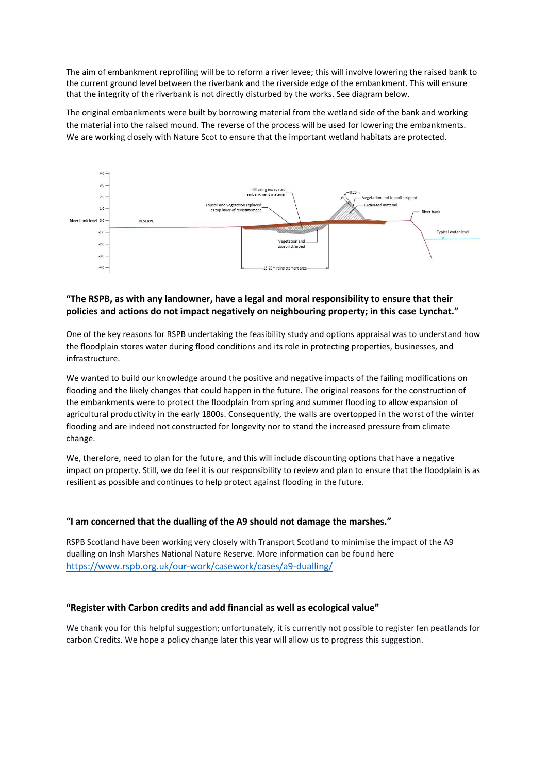The aim of embankment reprofiling will be to reform a river levee; this will involve lowering the raised bank to the current ground level between the riverbank and the riverside edge of the embankment. This will ensure that the integrity of the riverbank is not directly disturbed by the works. See diagram below.

The original embankments were built by borrowing material from the wetland side of the bank and working the material into the raised mound. The reverse of the process will be used for lowering the embankments. We are working closely with Nature Scot to ensure that the important wetland habitats are protected.



## **"The RSPB, as with any landowner, have a legal and moral responsibility to ensure that their policies and actions do not impact negatively on neighbouring property; in this case Lynchat."**

One of the key reasons for RSPB undertaking the feasibility study and options appraisal was to understand how the floodplain stores water during flood conditions and its role in protecting properties, businesses, and infrastructure.

We wanted to build our knowledge around the positive and negative impacts of the failing modifications on flooding and the likely changes that could happen in the future. The original reasons for the construction of the embankments were to protect the floodplain from spring and summer flooding to allow expansion of agricultural productivity in the early 1800s. Consequently, the walls are overtopped in the worst of the winter flooding and are indeed not constructed for longevity nor to stand the increased pressure from climate change.

We, therefore, need to plan for the future, and this will include discounting options that have a negative impact on property. Still, we do feel it is our responsibility to review and plan to ensure that the floodplain is as resilient as possible and continues to help protect against flooding in the future.

#### **"I am concerned that the dualling of the A9 should not damage the marshes."**

RSPB Scotland have been working very closely with Transport Scotland to minimise the impact of the A9 dualling on Insh Marshes National Nature Reserve. More information can be found here <https://www.rspb.org.uk/our-work/casework/cases/a9-dualling/>

#### **"Register with Carbon credits and add financial as well as ecological value"**

We thank you for this helpful suggestion; unfortunately, it is currently not possible to register fen peatlands for carbon Credits. We hope a policy change later this year will allow us to progress this suggestion.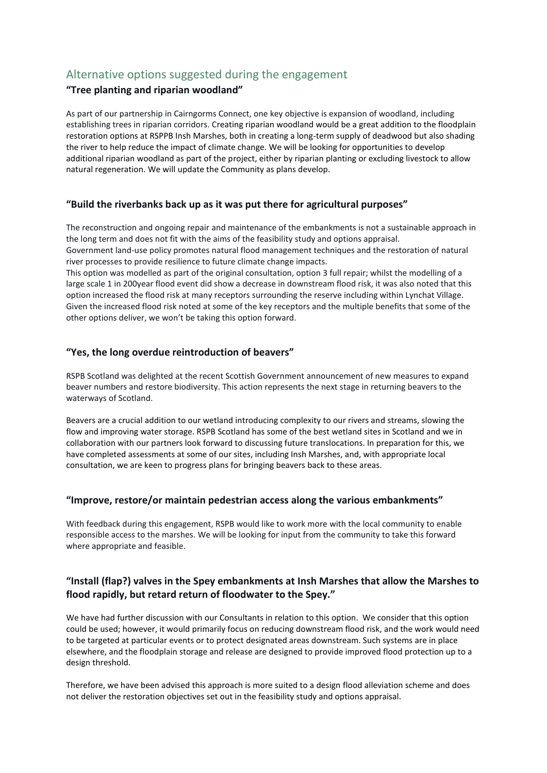# <span id="page-15-0"></span>Alternative options suggested during the engagement

# **"Tree planting and riparian woodland"**

As part of our partnership in Cairngorms Connect, one key objective is expansion of woodland, including establishing trees in riparian corridors. Creating riparian woodland would be a great addition to the floodplain restoration options at RSPPB Insh Marshes, both in creating a long-term supply of deadwood but also shading the river to help reduce the impact of climate change. We will be looking for opportunities to develop additional riparian woodland as part of the project, either by riparian planting or excluding livestock to allow natural regeneration. We will update the Community as plans develop.

# **"Build the riverbanks back up as it was put there for agricultural purposes"**

The reconstruction and ongoing repair and maintenance of the embankments is not a sustainable approach in the long term and does not fit with the aims of the feasibility study and options appraisal. Government land-use policy promotes natural flood management techniques and the restoration of natural river processes to provide resilience to future climate change impacts.

This option was modelled as part of the original consultation, option 3 full repair; whilst the modelling of a large scale 1 in 200year flood event did show a decrease in downstream flood risk, it was also noted that this option increased the flood risk at many receptors surrounding the reserve including within Lynchat Village. Given the increased flood risk noted at some of the key receptors and the multiple benefits that some of the other options deliver, we won't be taking this option forward.

# **"Yes, the long overdue reintroduction of beavers"**

RSPB Scotland was delighted at the recent Scottish Government announcement of new measures to expand beaver numbers and restore biodiversity. This action represents the next stage in returning beavers to the waterways of Scotland.

Beavers are a crucial addition to our wetland introducing complexity to our rivers and streams, slowing the flow and improving water storage. RSPB Scotland has some of the best wetland sites in Scotland and we in collaboration with our partners look forward to discussing future translocations. In preparation for this, we have completed assessments at some of our sites, including Insh Marshes, and, with appropriate local consultation, we are keen to progress plans for bringing beavers back to these areas.

# **"Improve, restore/or maintain pedestrian access along the various embankments"**

With feedback during this engagement, RSPB would like to work more with the local community to enable responsible access to the marshes. We will be looking for input from the community to take this forward where appropriate and feasible.

# **"Install (flap?) valves in the Spey embankments at Insh Marshes that allow the Marshes to flood rapidly, but retard return of floodwater to the Spey."**

We have had further discussion with our Consultants in relation to this option. We consider that this option could be used; however, it would primarily focus on reducing downstream flood risk, and the work would need to be targeted at particular events or to protect designated areas downstream. Such systems are in place elsewhere, and the floodplain storage and release are designed to provide improved flood protection up to a design threshold.

Therefore, we have been advised this approach is more suited to a design flood alleviation scheme and does not deliver the restoration objectives set out in the feasibility study and options appraisal.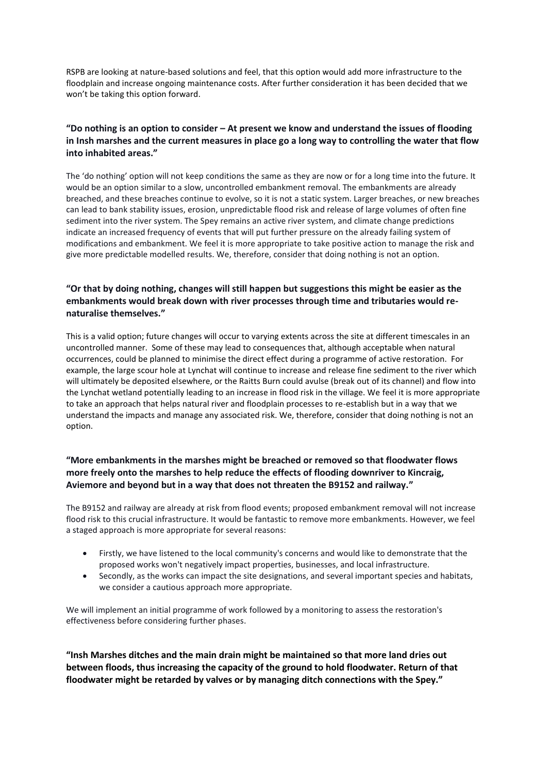RSPB are looking at nature-based solutions and feel, that this option would add more infrastructure to the floodplain and increase ongoing maintenance costs. After further consideration it has been decided that we won't be taking this option forward.

# **"Do nothing is an option to consider – At present we know and understand the issues of flooding in Insh marshes and the current measures in place go a long way to controlling the water that flow into inhabited areas."**

The 'do nothing' option will not keep conditions the same as they are now or for a long time into the future. It would be an option similar to a slow, uncontrolled embankment removal. The embankments are already breached, and these breaches continue to evolve, so it is not a static system. Larger breaches, or new breaches can lead to bank stability issues, erosion, unpredictable flood risk and release of large volumes of often fine sediment into the river system. The Spey remains an active river system, and climate change predictions indicate an increased frequency of events that will put further pressure on the already failing system of modifications and embankment. We feel it is more appropriate to take positive action to manage the risk and give more predictable modelled results. We, therefore, consider that doing nothing is not an option.

# **"Or that by doing nothing, changes will still happen but suggestions this might be easier as the embankments would break down with river processes through time and tributaries would renaturalise themselves."**

This is a valid option; future changes will occur to varying extents across the site at different timescales in an uncontrolled manner. Some of these may lead to consequences that, although acceptable when natural occurrences, could be planned to minimise the direct effect during a programme of active restoration. For example, the large scour hole at Lynchat will continue to increase and release fine sediment to the river which will ultimately be deposited elsewhere, or the Raitts Burn could avulse (break out of its channel) and flow into the Lynchat wetland potentially leading to an increase in flood risk in the village. We feel it is more appropriate to take an approach that helps natural river and floodplain processes to re-establish but in a way that we understand the impacts and manage any associated risk. We, therefore, consider that doing nothing is not an option.

## **"More embankments in the marshes might be breached or removed so that floodwater flows more freely onto the marshes to help reduce the effects of flooding downriver to Kincraig, Aviemore and beyond but in a way that does not threaten the B9152 and railway."**

The B9152 and railway are already at risk from flood events; proposed embankment removal will not increase flood risk to this crucial infrastructure. It would be fantastic to remove more embankments. However, we feel a staged approach is more appropriate for several reasons:

- Firstly, we have listened to the local community's concerns and would like to demonstrate that the proposed works won't negatively impact properties, businesses, and local infrastructure.
- Secondly, as the works can impact the site designations, and several important species and habitats, we consider a cautious approach more appropriate.

We will implement an initial programme of work followed by a monitoring to assess the restoration's effectiveness before considering further phases.

**"Insh Marshes ditches and the main drain might be maintained so that more land dries out between floods, thus increasing the capacity of the ground to hold floodwater. Return of that floodwater might be retarded by valves or by managing ditch connections with the Spey."**